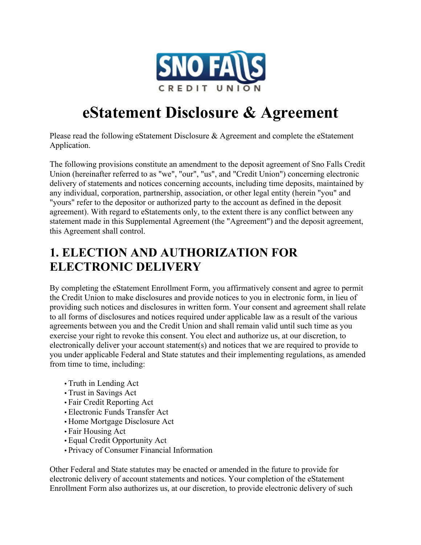

# **eStatement Disclosure & Agreement**

Please read the following eStatement Disclosure & Agreement and complete the eStatement Application.

The following provisions constitute an amendment to the deposit agreement of Sno Falls Credit Union (hereinafter referred to as "we", "our", "us", and "Credit Union") concerning electronic delivery of statements and notices concerning accounts, including time deposits, maintained by any individual, corporation, partnership, association, or other legal entity (herein "you" and "yours" refer to the depositor or authorized party to the account as defined in the deposit agreement). With regard to eStatements only, to the extent there is any conflict between any statement made in this Supplemental Agreement (the "Agreement") and the deposit agreement, this Agreement shall control.

#### **1. ELECTION AND AUTHORIZATION FOR ELECTRONIC DELIVERY**

By completing the eStatement Enrollment Form, you affirmatively consent and agree to permit the Credit Union to make disclosures and provide notices to you in electronic form, in lieu of providing such notices and disclosures in written form. Your consent and agreement shall relate to all forms of disclosures and notices required under applicable law as a result of the various agreements between you and the Credit Union and shall remain valid until such time as you exercise your right to revoke this consent. You elect and authorize us, at our discretion, to electronically deliver your account statement(s) and notices that we are required to provide to you under applicable Federal and State statutes and their implementing regulations, as amended from time to time, including:

- •Truth in Lending Act
- •Trust in Savings Act
- Fair Credit Reporting Act
- •Electronic Funds Transfer Act
- Home Mortgage Disclosure Act
- Fair Housing Act
- •Equal Credit Opportunity Act
- Privacy of Consumer Financial Information

Other Federal and State statutes may be enacted or amended in the future to provide for electronic delivery of account statements and notices. Your completion of the eStatement Enrollment Form also authorizes us, at our discretion, to provide electronic delivery of such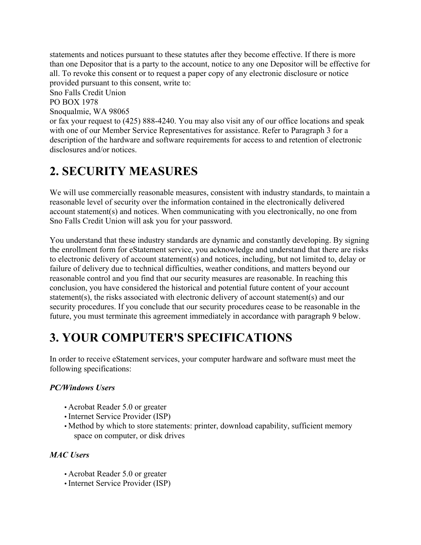statements and notices pursuant to these statutes after they become effective. If there is more than one Depositor that is a party to the account, notice to any one Depositor will be effective for all. To revoke this consent or to request a paper copy of any electronic disclosure or notice provided pursuant to this consent, write to:

Sno Falls Credit Union

PO BOX 1978

Snoqualmie, WA 98065

or fax your request to (425) 888-4240. You may also visit any of our office locations and speak with one of our Member Service Representatives for assistance. Refer to Paragraph 3 for a description of the hardware and software requirements for access to and retention of electronic disclosures and/or notices.

#### **2. SECURITY MEASURES**

We will use commercially reasonable measures, consistent with industry standards, to maintain a reasonable level of security over the information contained in the electronically delivered account statement(s) and notices. When communicating with you electronically, no one from Sno Falls Credit Union will ask you for your password.

You understand that these industry standards are dynamic and constantly developing. By signing the enrollment form for eStatement service, you acknowledge and understand that there are risks to electronic delivery of account statement(s) and notices, including, but not limited to, delay or failure of delivery due to technical difficulties, weather conditions, and matters beyond our reasonable control and you find that our security measures are reasonable. In reaching this conclusion, you have considered the historical and potential future content of your account statement(s), the risks associated with electronic delivery of account statement(s) and our security procedures. If you conclude that our security procedures cease to be reasonable in the future, you must terminate this agreement immediately in accordance with paragraph 9 below.

### **3. YOUR COMPUTER'S SPECIFICATIONS**

In order to receive eStatement services, your computer hardware and software must meet the following specifications:

#### *PC/Windows Users*

- Acrobat Reader 5.0 or greater
- Internet Service Provider (ISP)
- Method by which to store statements: printer, download capability, sufficient memory space on computer, or disk drives

#### *MAC Users*

- Acrobat Reader 5.0 or greater
- Internet Service Provider (ISP)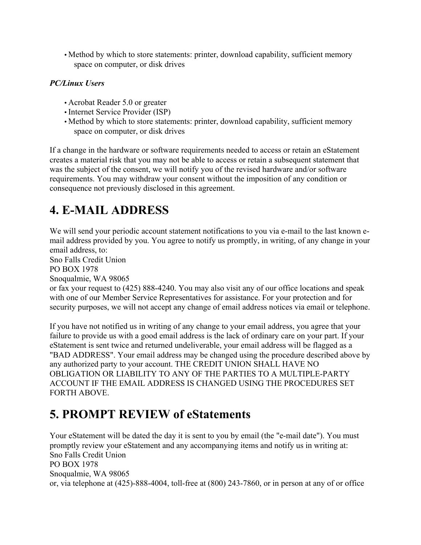• Method by which to store statements: printer, download capability, sufficient memory space on computer, or disk drives

#### *PC/Linux Users*

- Acrobat Reader 5.0 or greater
- Internet Service Provider (ISP)
- Method by which to store statements: printer, download capability, sufficient memory space on computer, or disk drives

If a change in the hardware or software requirements needed to access or retain an eStatement creates a material risk that you may not be able to access or retain a subsequent statement that was the subject of the consent, we will notify you of the revised hardware and/or software requirements. You may withdraw your consent without the imposition of any condition or consequence not previously disclosed in this agreement.

### **4. E-MAIL ADDRESS**

We will send your periodic account statement notifications to you via e-mail to the last known email address provided by you. You agree to notify us promptly, in writing, of any change in your email address, to:

Sno Falls Credit Union PO BOX 1978

Snoqualmie, WA 98065

or fax your request to (425) 888-4240. You may also visit any of our office locations and speak with one of our Member Service Representatives for assistance. For your protection and for security purposes, we will not accept any change of email address notices via email or telephone.

If you have not notified us in writing of any change to your email address, you agree that your failure to provide us with a good email address is the lack of ordinary care on your part. If your eStatement is sent twice and returned undeliverable, your email address will be flagged as a "BAD ADDRESS". Your email address may be changed using the procedure described above by any authorized party to your account. THE CREDIT UNION SHALL HAVE NO OBLIGATION OR LIABILITY TO ANY OF THE PARTIES TO A MULTIPLE-PARTY ACCOUNT IF THE EMAIL ADDRESS IS CHANGED USING THE PROCEDURES SET FORTH ABOVE.

### **5. PROMPT REVIEW of eStatements**

Your eStatement will be dated the day it is sent to you by email (the "e-mail date"). You must promptly review your eStatement and any accompanying items and notify us in writing at: Sno Falls Credit Union PO BOX 1978 Snoqualmie, WA 98065 or, via telephone at (425)-888-4004, toll-free at (800) 243-7860, or in person at any of or office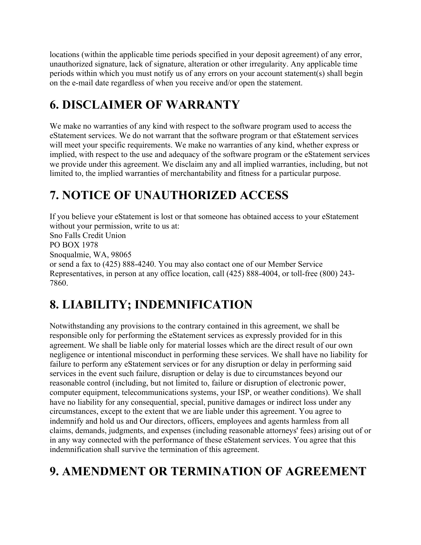locations (within the applicable time periods specified in your deposit agreement) of any error, unauthorized signature, lack of signature, alteration or other irregularity. Any applicable time periods within which you must notify us of any errors on your account statement(s) shall begin on the e-mail date regardless of when you receive and/or open the statement.

# **6. DISCLAIMER OF WARRANTY**

We make no warranties of any kind with respect to the software program used to access the eStatement services. We do not warrant that the software program or that eStatement services will meet your specific requirements. We make no warranties of any kind, whether express or implied, with respect to the use and adequacy of the software program or the eStatement services we provide under this agreement. We disclaim any and all implied warranties, including, but not limited to, the implied warranties of merchantability and fitness for a particular purpose.

# **7. NOTICE OF UNAUTHORIZED ACCESS**

If you believe your eStatement is lost or that someone has obtained access to your eStatement without your permission, write to us at:

Sno Falls Credit Union PO BOX 1978 Snoqualmie, WA, 98065 or send a fax to (425) 888-4240. You may also contact one of our Member Service Representatives, in person at any office location, call (425) 888-4004, or toll-free (800) 243- 7860.

# **8. LIABILITY; INDEMNIFICATION**

Notwithstanding any provisions to the contrary contained in this agreement, we shall be responsible only for performing the eStatement services as expressly provided for in this agreement. We shall be liable only for material losses which are the direct result of our own negligence or intentional misconduct in performing these services. We shall have no liability for failure to perform any eStatement services or for any disruption or delay in performing said services in the event such failure, disruption or delay is due to circumstances beyond our reasonable control (including, but not limited to, failure or disruption of electronic power, computer equipment, telecommunications systems, your ISP, or weather conditions). We shall have no liability for any consequential, special, punitive damages or indirect loss under any circumstances, except to the extent that we are liable under this agreement. You agree to indemnify and hold us and Our directors, officers, employees and agents harmless from all claims, demands, judgments, and expenses (including reasonable attorneys' fees) arising out of or in any way connected with the performance of these eStatement services. You agree that this indemnification shall survive the termination of this agreement.

# **9. AMENDMENT OR TERMINATION OF AGREEMENT**